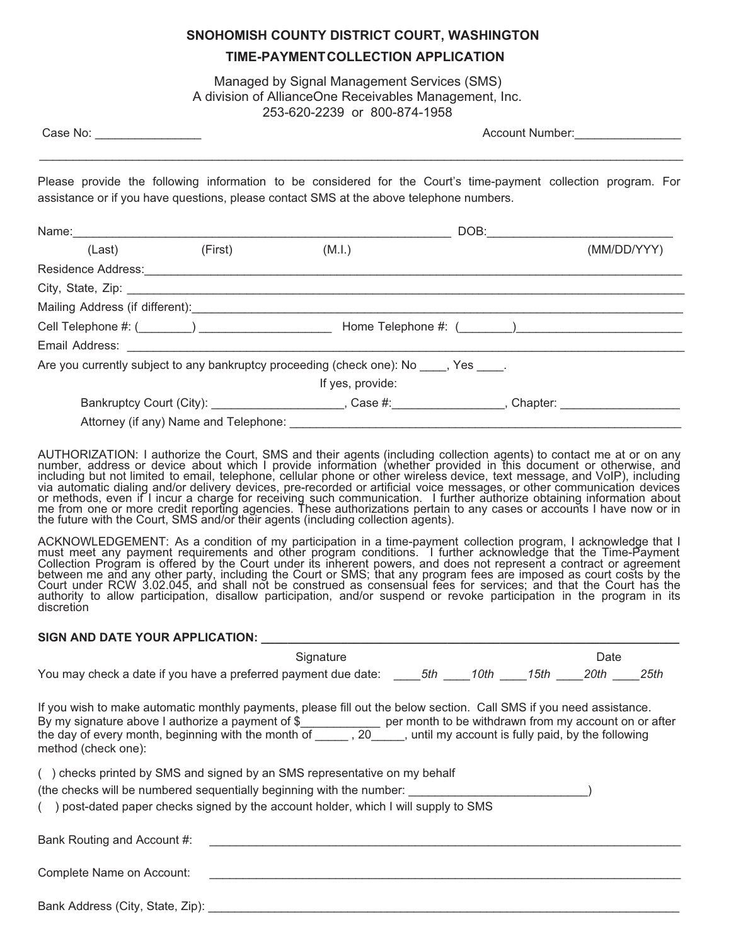## **SNOHOMISH COUNTY DISTRICT COURT, WASHINGTON TIME-PAYMENTCOLLECTION APPLICATION**

Managed by Signal Management Services (SMS) A division of AllianceOne Receivables Management, Inc. 253-620-2239 or 800-874-1958

Case No: \_\_\_\_\_\_\_\_\_\_\_\_\_\_\_\_ Account Number:\_\_\_\_\_\_\_\_\_\_\_\_\_\_\_\_

Please provide the following information to be considered for the Court's time-payment collection program. For assistance or if you have questions, please contact SMS at the above telephone numbers.

\_\_\_\_\_\_\_\_\_\_\_\_\_\_\_\_\_\_\_\_\_\_\_\_\_\_\_\_\_\_\_\_\_\_\_\_\_\_\_\_\_\_\_\_\_\_\_\_\_\_\_\_\_\_\_\_\_\_\_\_\_\_\_\_\_\_\_\_\_\_\_\_\_\_\_\_\_\_\_\_\_\_\_\_\_\_\_\_\_\_\_\_\_\_\_\_\_

|                           |                                                        | DOB:                                                                                   |                                                                                                      |             |  |  |
|---------------------------|--------------------------------------------------------|----------------------------------------------------------------------------------------|------------------------------------------------------------------------------------------------------|-------------|--|--|
| (Last)                    | (First)                                                | (M.I.)                                                                                 |                                                                                                      | (MM/DD/YYY) |  |  |
| <b>Residence Address:</b> |                                                        |                                                                                        |                                                                                                      |             |  |  |
|                           |                                                        |                                                                                        |                                                                                                      |             |  |  |
|                           |                                                        |                                                                                        |                                                                                                      |             |  |  |
|                           | Cell Telephone #: (________) _________________________ |                                                                                        |                                                                                                      |             |  |  |
|                           |                                                        |                                                                                        |                                                                                                      |             |  |  |
|                           |                                                        | Are you currently subject to any bankruptcy proceeding (check one): No ____, Yes ____. |                                                                                                      |             |  |  |
|                           |                                                        | If yes, provide:                                                                       |                                                                                                      |             |  |  |
|                           |                                                        |                                                                                        | Bankruptcy Court (City): _____________________, Case #:_______________, Chapter: ___________________ |             |  |  |
|                           | Attorney (if any) Name and Telephone: ______________   |                                                                                        |                                                                                                      |             |  |  |

AUTHORIZATION: I authorize the Court, SMS and their agents (including collection agents) to contact me at or on any number, address or device about which I provide information (whether provided in this document or otherwise, and including but not limited to email, telephone, cellular phone or other wireless device, text message, and VoIP), including via automatic dialing and/or delivery devices, pre-recorded or artificial voice messages, or other communication devices or methods, even if I incur a charge for receiving such communication. I further authorize obtaining information about me from one or more credit reporting agencies. These authorizations pertain to any cases or accounts I have now or in the future with the Court, SMS and/or their agents (including collection agents).

ACKNOWLEDGEMENT: As a condition of my participation in a time-payment collection program, I acknowledge that I must meet any payment requirements and other program conditions. I further acknowledge that the Time-Payment Collection Program is offered by the Court under its inherent powers, and does not represent a contract or agreement between me and any other party, including the Court or SMS; that any program fees are imposed as court costs by the Court under RCW 3.02.045, and shall not be construed as consensual fees for services; and that the Court has the authority to allow participation, disallow participation, and/or suspend or revoke participation in the program in its discretion

#### **SIGN AND DATE YOUR APPLICATION:**

|                                                                                                                                                                                                                                                                                                                                                                                   | Signature |  |  |  | Date |      |  |  |
|-----------------------------------------------------------------------------------------------------------------------------------------------------------------------------------------------------------------------------------------------------------------------------------------------------------------------------------------------------------------------------------|-----------|--|--|--|------|------|--|--|
| You may check a date if you have a preferred payment due date: 5th 10th 15th 20th 20th                                                                                                                                                                                                                                                                                            |           |  |  |  |      | 25th |  |  |
| If you wish to make automatic monthly payments, please fill out the below section. Call SMS if you need assistance.<br>By my signature above I authorize a payment of $\frac{1}{2}$ per month to be withdrawn from my account on or after<br>the day of every month, beginning with the month of _______, 20______, until my account is fully paid, by the<br>method (check one): |           |  |  |  |      |      |  |  |
| () checks printed by SMS and signed by an SMS representative on my behalf<br>(the checks will be numbered sequentially beginning with the number:<br>() post-dated paper checks signed by the account holder, which I will supply to SMS                                                                                                                                          |           |  |  |  |      |      |  |  |
| Bank Routing and Account #:                                                                                                                                                                                                                                                                                                                                                       |           |  |  |  |      |      |  |  |
| Complete Name on Account:                                                                                                                                                                                                                                                                                                                                                         |           |  |  |  |      |      |  |  |
| Bank Address (City, State, Zip):                                                                                                                                                                                                                                                                                                                                                  |           |  |  |  |      |      |  |  |